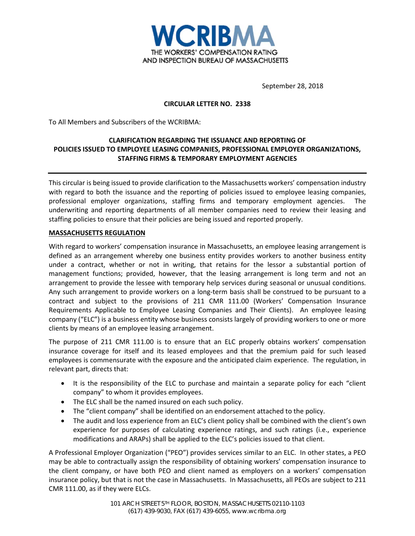

September 28, 2018

### **CIRCULAR LETTER NO. 2338**

To All Members and Subscribers of the WCRIBMA:

# **CLARIFICATION REGARDING THE ISSUANCE AND REPORTING OF POLICIES ISSUED TO EMPLOYEE LEASING COMPANIES, PROFESSIONAL EMPLOYER ORGANIZATIONS, STAFFING FIRMS & TEMPORARY EMPLOYMENT AGENCIES**

This circular is being issued to provide clarification to the Massachusetts workers' compensation industry with regard to both the issuance and the reporting of policies issued to employee leasing companies, professional employer organizations, staffing firms and temporary employment agencies. The underwriting and reporting departments of all member companies need to review their leasing and staffing policies to ensure that their policies are being issued and reported properly.

#### **MASSACHUSETTS REGULATION**

With regard to workers' compensation insurance in Massachusetts, an employee leasing arrangement is defined as an arrangement whereby one business entity provides workers to another business entity under a contract, whether or not in writing, that retains for the lessor a substantial portion of management functions; provided, however, that the leasing arrangement is long term and not an arrangement to provide the lessee with temporary help services during seasonal or unusual conditions. Any such arrangement to provide workers on a long-term basis shall be construed to be pursuant to a contract and subject to the provisions of 211 CMR 111.00 (Workers' Compensation Insurance Requirements Applicable to Employee Leasing Companies and Their Clients). An employee leasing company ("ELC") is a business entity whose business consists largely of providing workers to one or more clients by means of an employee leasing arrangement.

The purpose of 211 CMR 111.00 is to ensure that an ELC properly obtains workers' compensation insurance coverage for itself and its leased employees and that the premium paid for such leased employees is commensurate with the exposure and the anticipated claim experience. The regulation, in relevant part, directs that:

- It is the responsibility of the ELC to purchase and maintain a separate policy for each "client company" to whom it provides employees.
- The ELC shall be the named insured on each such policy.
- The "client company" shall be identified on an endorsement attached to the policy.
- The audit and loss experience from an ELC's client policy shall be combined with the client's own experience for purposes of calculating experience ratings, and such ratings (i.e., experience modifications and ARAPs) shall be applied to the ELC's policies issued to that client.

A Professional Employer Organization ("PEO") provides services similar to an ELC. In other states, a PEO may be able to contractually assign the responsibility of obtaining workers' compensation insurance to the client company, or have both PEO and client named as employers on a workers' compensation insurance policy, but that is not the case in Massachusetts. In Massachusetts, all PEOs are subject to 211 CMR 111.00, as if they were ELCs.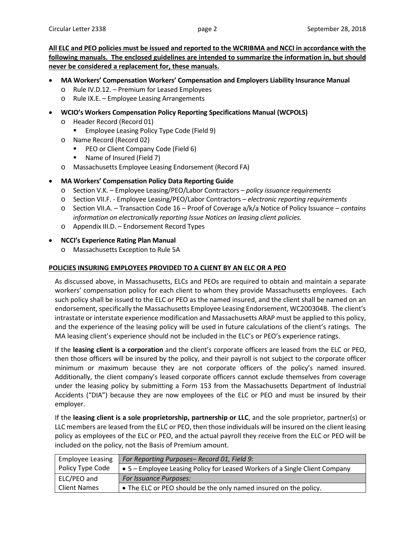**All ELC and PEO policies must be issued and reported to the WCRIBMA and NCCI in accordance with the following manuals. The enclosed guidelines are intended to summarize the information in, but should never be considered a replacement for, these manuals.** 

- **MA Workers' Compensation Workers' Compensation and Employers Liability Insurance Manual**
	- o Rule IV.D.12. Premium for Leased Employees
	- o Rule IX.E. Employee Leasing Arrangements
- **WCIO's Workers Compensation Policy Reporting Specifications Manual (WCPOLS)**
	- o Header Record (Record 01)
		- **Employee Leasing Policy Type Code (Field 9)**
	- o Name Record (Record 02)
		- **PEO or Client Company Code (Field 6)**
		- Name of Insured (Field 7)
	- o Massachusetts Employee Leasing Endorsement (Record FA)
- **MA Workers' Compensation Policy Data Reporting Guide**
	- o Section V.K. Employee Leasing/PEO/Labor Contractors *policy issuance requirements*
	- o Section VII.F. Employee Leasing/PEO/Labor Contractors *electronic reporting requirements*
	- o Section VII.A. Transaction Code 16 Proof of Coverage a/k/a Notice of Policy Issuance *contains information on electronically reporting Issue Notices on leasing client policies.*
	- o Appendix III.D. Endorsement Record Types

#### • **NCCI's Experience Rating Plan Manual**

o Massachusetts Exception to Rule 5A

## **POLICIES INSURING EMPLOYEES PROVIDED TO A CLIENT BY AN ELC OR A PEO**

As discussed above, in Massachusetts, ELCs and PEOs are required to obtain and maintain a separate workers' compensation policy for each client to whom they provide Massachusetts employees. Each such policy shall be issued to the ELC or PEO as the named insured, and the client shall be named on an endorsement, specifically the Massachusetts Employee Leasing Endorsement, WC200304B. The client's intrastate or interstate experience modification and Massachusetts ARAP must be applied to this policy, and the experience of the leasing policy will be used in future calculations of the client's ratings. The MA leasing client's experience should not be included in the ELC's or PEO's experience ratings.

If the **leasing client is a corporation** and the client's corporate officers are leased from the ELC or PEO, then those officers will be insured by the policy, and their payroll is not subject to the corporate officer minimum or maximum because they are not corporate officers of the policy's named insured. Additionally, the client company's leased corporate officers cannot exclude themselves from coverage under the leasing policy by submitting a Form 153 from the Massachusetts Department of Industrial Accidents ("DIA") because they are now employees of the ELC or PEO and must be insured by their employer.

If the **leasing client is a sole proprietorship, partnership or LLC**, and the sole proprietor, partner(s) or LLC members are leased from the ELC or PEO, then those individuals will be insured on the client leasing policy as employees of the ELC or PEO, and the actual payroll they receive from the ELC or PEO will be included on the policy, not the Basis of Premium amount.

| <b>Employee Leasing</b> | For Reporting Purposes-Record 01, Field 9:                                  |
|-------------------------|-----------------------------------------------------------------------------|
| Policy Type Code        | • 5 – Employee Leasing Policy for Leased Workers of a Single Client Company |
| ELC/PEO and             | <b>For Issuance Purposes:</b>                                               |
| <b>Client Names</b>     | • The ELC or PEO should be the only named insured on the policy.            |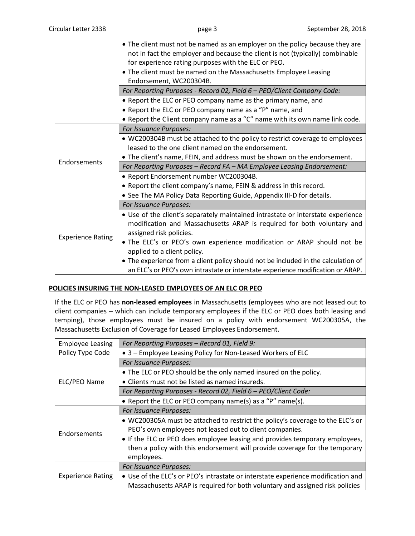|                          | • The client must not be named as an employer on the policy because they are<br>not in fact the employer and because the client is not (typically) combinable |
|--------------------------|---------------------------------------------------------------------------------------------------------------------------------------------------------------|
|                          | for experience rating purposes with the ELC or PEO.                                                                                                           |
|                          |                                                                                                                                                               |
|                          | • The client must be named on the Massachusetts Employee Leasing                                                                                              |
|                          | Endorsement, WC200304B.                                                                                                                                       |
|                          | For Reporting Purposes - Record 02, Field 6 - PEO/Client Company Code:                                                                                        |
|                          | • Report the ELC or PEO company name as the primary name, and                                                                                                 |
|                          | • Report the ELC or PEO company name as a "P" name, and                                                                                                       |
|                          | • Report the Client company name as a "C" name with its own name link code.                                                                                   |
|                          | For Issuance Purposes:                                                                                                                                        |
|                          | • WC200304B must be attached to the policy to restrict coverage to employees                                                                                  |
|                          | leased to the one client named on the endorsement.                                                                                                            |
|                          | • The client's name, FEIN, and address must be shown on the endorsement.                                                                                      |
| Endorsements             | For Reporting Purposes - Record FA - MA Employee Leasing Endorsement:                                                                                         |
|                          | · Report Endorsement number WC200304B.                                                                                                                        |
|                          | • Report the client company's name, FEIN & address in this record.                                                                                            |
|                          | • See The MA Policy Data Reporting Guide, Appendix III-D for details.                                                                                         |
| <b>Experience Rating</b> | For Issuance Purposes:                                                                                                                                        |
|                          | • Use of the client's separately maintained intrastate or interstate experience                                                                               |
|                          | modification and Massachusetts ARAP is required for both voluntary and                                                                                        |
|                          | assigned risk policies.                                                                                                                                       |
|                          | . The ELC's or PEO's own experience modification or ARAP should not be                                                                                        |
|                          | applied to a client policy.                                                                                                                                   |
|                          | • The experience from a client policy should not be included in the calculation of                                                                            |
|                          |                                                                                                                                                               |
|                          | an ELC's or PEO's own intrastate or interstate experience modification or ARAP.                                                                               |

## **POLICIES INSURING THE NON-LEASED EMPLOYEES OF AN ELC OR PEO**

If the ELC or PEO has **non-leased employees** in Massachusetts (employees who are not leased out to client companies – which can include temporary employees if the ELC or PEO does both leasing and temping), those employees must be insured on a policy with endorsement WC200305A, the Massachusetts Exclusion of Coverage for Leased Employees Endorsement.

| <b>Employee Leasing</b>  | For Reporting Purposes - Record 01, Field 9:                                     |
|--------------------------|----------------------------------------------------------------------------------|
| Policy Type Code         | • 3 – Employee Leasing Policy for Non-Leased Workers of ELC                      |
| ELC/PEO Name             | For Issuance Purposes:                                                           |
|                          | • The ELC or PEO should be the only named insured on the policy.                 |
|                          | • Clients must not be listed as named insureds.                                  |
|                          | For Reporting Purposes - Record 02, Field 6 - PEO/Client Code:                   |
|                          | • Report the ELC or PEO company name(s) as a "P" name(s).                        |
| Endorsements             | For Issuance Purposes:                                                           |
|                          | • WC200305A must be attached to restrict the policy's coverage to the ELC's or   |
|                          | PEO's own employees not leased out to client companies.                          |
|                          | • If the ELC or PEO does employee leasing and provides temporary employees,      |
|                          | then a policy with this endorsement will provide coverage for the temporary      |
|                          | employees.                                                                       |
| <b>Experience Rating</b> | For Issuance Purposes:                                                           |
|                          | • Use of the ELC's or PEO's intrastate or interstate experience modification and |
|                          | Massachusetts ARAP is required for both voluntary and assigned risk policies     |